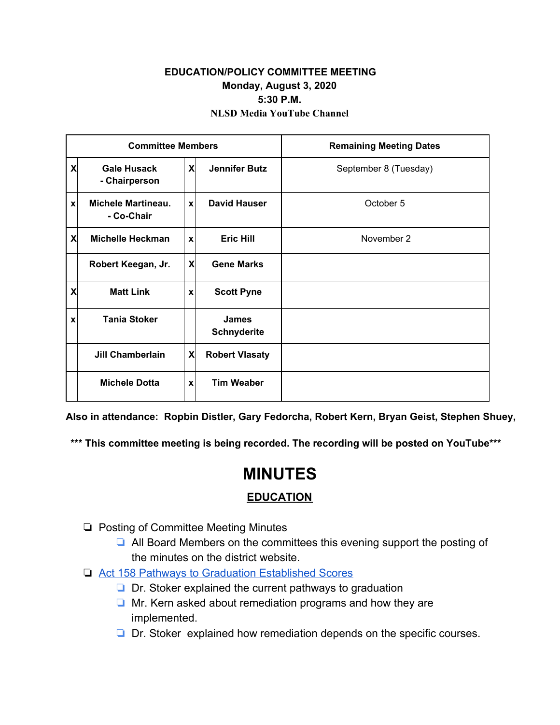## **EDUCATION/POLICY COMMITTEE MEETING Monday, August 3, 2020 5:30 P.M. NLSD Media YouTube Channel**

| <b>Committee Members</b>  |                                     |                           |                                    | <b>Remaining Meeting Dates</b> |
|---------------------------|-------------------------------------|---------------------------|------------------------------------|--------------------------------|
| X                         | <b>Gale Husack</b><br>- Chairperson | X                         | <b>Jennifer Butz</b>               | September 8 (Tuesday)          |
| $\boldsymbol{\mathsf{x}}$ | Michele Martineau.<br>- Co-Chair    | $\mathbf{x}$              | <b>David Hauser</b>                | October 5                      |
| X                         | <b>Michelle Heckman</b>             | $\boldsymbol{\mathsf{x}}$ | <b>Eric Hill</b>                   | November 2                     |
|                           | Robert Keegan, Jr.                  | $\boldsymbol{\mathsf{x}}$ | <b>Gene Marks</b>                  |                                |
| X                         | <b>Matt Link</b>                    | X                         | <b>Scott Pyne</b>                  |                                |
| X                         | <b>Tania Stoker</b>                 |                           | <b>James</b><br><b>Schnyderite</b> |                                |
|                           | <b>Jill Chamberlain</b>             | X                         | <b>Robert Vlasaty</b>              |                                |
|                           | <b>Michele Dotta</b>                | $\boldsymbol{x}$          | <b>Tim Weaber</b>                  |                                |

**Also in attendance: Ropbin Distler, Gary Fedorcha, Robert Kern, Bryan Geist, Stephen Shuey,**

**\*\*\* This committee meeting is being recorded. The recording will be posted on YouTube\*\*\***

## **MINUTES**

## **EDUCATION**

- ❏ Posting of Committee Meeting Minutes
	- ❏ All Board Members on the committees this evening support the posting of the minutes on the district website.
- ❏ [Act 158 Pathways to Graduation Established Scores](https://drive.google.com/file/d/1DCOx4juXb3VxPl3zOcxJAnU4xlnPRg-n/view?usp=sharing)
	- ❏ Dr. Stoker explained the current pathways to graduation
	- ❏ Mr. Kern asked about remediation programs and how they are implemented.
	- ❏ Dr. Stoker explained how remediation depends on the specific courses.